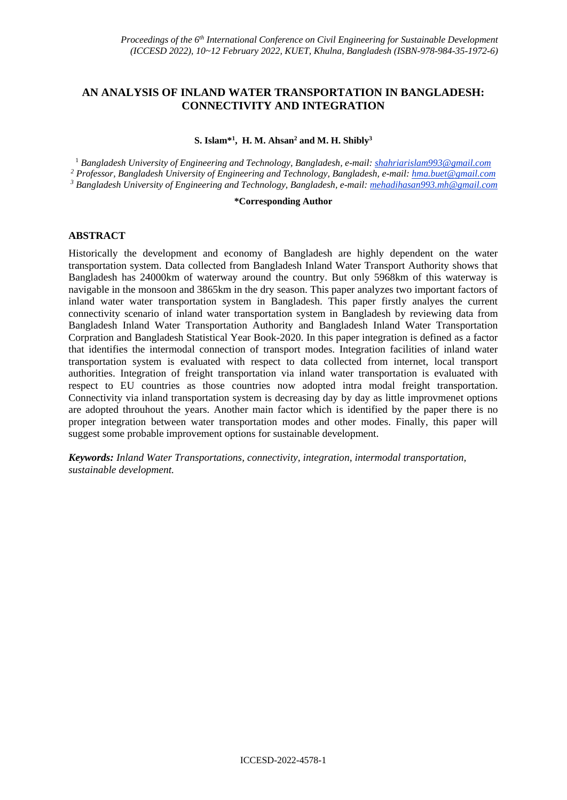# **AN ANALYSIS OF INLAND WATER TRANSPORTATION IN BANGLADESH: CONNECTIVITY AND INTEGRATION**

#### **S. Islam\* 1 , H. M. Ahsan<sup>2</sup> and M. H. Shibly<sup>3</sup>**

<sup>1</sup> *Bangladesh University of Engineering and Technology, Bangladesh, e-mail: shahriarislam993@gmail.com <sup>2</sup> Professor, Bangladesh University of Engineering and Technology, Bangladesh, e-mail: hma.buet@gmail.com <sup>3</sup> Bangladesh University of Engineering and Technology, Bangladesh, e-mail: mehadihasan993.mh@gmail.com*

#### **\*Corresponding Author**

# **ABSTRACT**

Historically the development and economy of Bangladesh are highly dependent on the water transportation system. Data collected from Bangladesh Inland Water Transport Authority shows that Bangladesh has 24000km of waterway around the country. But only 5968km of this waterway is navigable in the monsoon and 3865km in the dry season. This paper analyzes two important factors of inland water water transportation system in Bangladesh. This paper firstly analyes the current connectivity scenario of inland water transportation system in Bangladesh by reviewing data from Bangladesh Inland Water Transportation Authority and Bangladesh Inland Water Transportation Corpration and Bangladesh Statistical Year Book-2020. In this paper integration is defined as a factor that identifies the intermodal connection of transport modes. Integration facilities of inland water transportation system is evaluated with respect to data collected from internet, local transport authorities. Integration of freight transportation via inland water transportation is evaluated with respect to EU countries as those countries now adopted intra modal freight transportation. Connectivity via inland transportation system is decreasing day by day as little improvmenet options are adopted throuhout the years. Another main factor which is identified by the paper there is no proper integration between water transportation modes and other modes. Finally, this paper will suggest some probable improvement options for sustainable development.

*Keywords: Inland Water Transportations, connectivity, integration, intermodal transportation, sustainable development.*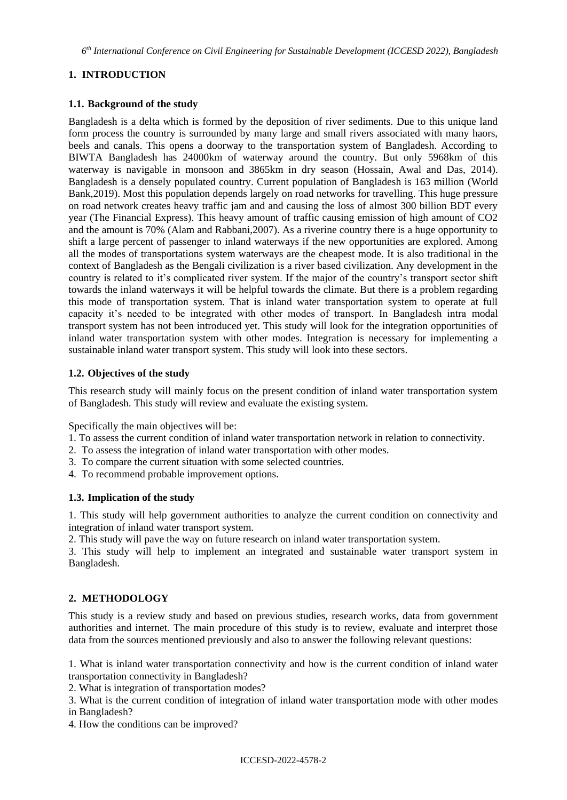*6 th International Conference on Civil Engineering for Sustainable Development (ICCESD 2022), Bangladesh*

# **1. INTRODUCTION**

# **1.1. Background of the study**

Bangladesh is a delta which is formed by the deposition of river sediments. Due to this unique land form process the country is surrounded by many large and small rivers associated with many haors, beels and canals. This opens a doorway to the transportation system of Bangladesh. According to BIWTA Bangladesh has 24000km of waterway around the country. But only 5968km of this waterway is navigable in monsoon and 3865km in dry season (Hossain, Awal and Das, 2014). Bangladesh is a densely populated country. Current population of Bangladesh is 163 million (World Bank,2019). Most this population depends largely on road networks for travelling. This huge pressure on road network creates heavy traffic jam and and causing the loss of almost 300 billion BDT every year (The Financial Express). This heavy amount of traffic causing emission of high amount of CO2 and the amount is 70% (Alam and Rabbani,2007). As a riverine country there is a huge opportunity to shift a large percent of passenger to inland waterways if the new opportunities are explored. Among all the modes of transportations system waterways are the cheapest mode. It is also traditional in the context of Bangladesh as the Bengali civilization is a river based civilization. Any development in the country is related to it's complicated river system. If the major of the country's transport sector shift towards the inland waterways it will be helpful towards the climate. But there is a problem regarding this mode of transportation system. That is inland water transportation system to operate at full capacity it's needed to be integrated with other modes of transport. In Bangladesh intra modal transport system has not been introduced yet. This study will look for the integration opportunities of inland water transportation system with other modes. Integration is necessary for implementing a sustainable inland water transport system. This study will look into these sectors.

# **1.2. Objectives of the study**

This research study will mainly focus on the present condition of inland water transportation system of Bangladesh. This study will review and evaluate the existing system.

Specifically the main objectives will be:

- 1. To assess the current condition of inland water transportation network in relation to connectivity.
- 2. To assess the integration of inland water transportation with other modes.
- 3. To compare the current situation with some selected countries.
- 4. To recommend probable improvement options.

### **1.3. Implication of the study**

1. This study will help government authorities to analyze the current condition on connectivity and integration of inland water transport system.

2. This study will pave the way on future research on inland water transportation system.

3. This study will help to implement an integrated and sustainable water transport system in Bangladesh.

### **2. METHODOLOGY**

This study is a review study and based on previous studies, research works, data from government authorities and internet. The main procedure of this study is to review, evaluate and interpret those data from the sources mentioned previously and also to answer the following relevant questions:

1. What is inland water transportation connectivity and how is the current condition of inland water transportation connectivity in Bangladesh?

2. What is integration of transportation modes?

3. What is the current condition of integration of inland water transportation mode with other modes in Bangladesh?

4. How the conditions can be improved?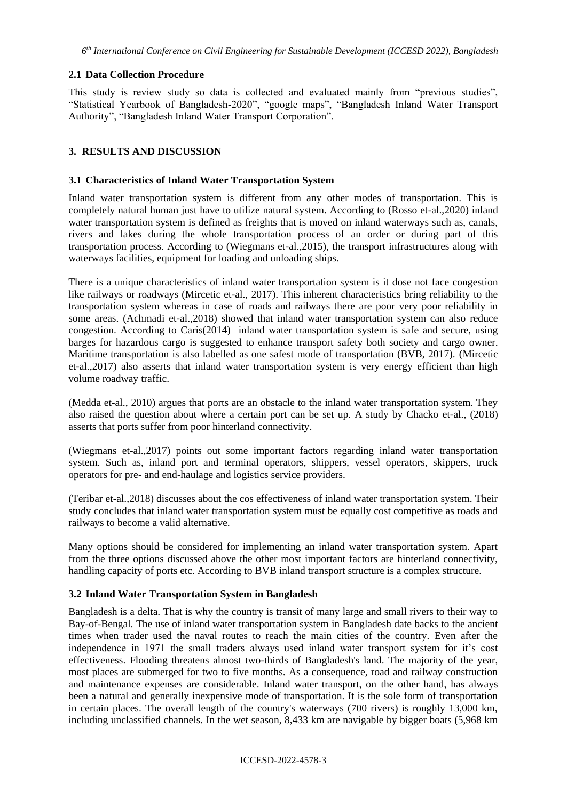# **2.1 Data Collection Procedure**

This study is review study so data is collected and evaluated mainly from "previous studies", "Statistical Yearbook of Bangladesh-2020", "google maps", "Bangladesh Inland Water Transport Authority", "Bangladesh Inland Water Transport Corporation".

# **3. RESULTS AND DISCUSSION**

### **3.1 Characteristics of Inland Water Transportation System**

Inland water transportation system is different from any other modes of transportation. This is completely natural human just have to utilize natural system. According to (Rosso et-al.,2020) inland water transportation system is defined as freights that is moved on inland waterways such as, canals, rivers and lakes during the whole transportation process of an order or during part of this transportation process. According to (Wiegmans et-al.,2015), the transport infrastructures along with waterways facilities, equipment for loading and unloading ships.

There is a unique characteristics of inland water transportation system is it dose not face congestion like railways or roadways (Mircetic et-al., 2017). This inherent characteristics bring reliability to the transportation system whereas in case of roads and railways there are poor very poor reliability in some areas. (Achmadi et-al.,2018) showed that inland water transportation system can also reduce congestion. According to Caris(2014) inland water transportation system is safe and secure, using barges for hazardous cargo is suggested to enhance transport safety both society and cargo owner. Maritime transportation is also labelled as one safest mode of transportation (BVB, 2017). (Mircetic et-al.,2017) also asserts that inland water transportation system is very energy efficient than high volume roadway traffic.

(Medda et-al., 2010) argues that ports are an obstacle to the inland water transportation system. They also raised the question about where a certain port can be set up. A study by Chacko et-al., (2018) asserts that ports suffer from poor hinterland connectivity.

(Wiegmans et-al.,2017) points out some important factors regarding inland water transportation system. Such as, inland port and terminal operators, shippers, vessel operators, skippers, truck operators for pre- and end-haulage and logistics service providers.

(Teribar et-al.,2018) discusses about the cos effectiveness of inland water transportation system. Their study concludes that inland water transportation system must be equally cost competitive as roads and railways to become a valid alternative.

Many options should be considered for implementing an inland water transportation system. Apart from the three options discussed above the other most important factors are hinterland connectivity, handling capacity of ports etc. According to BVB inland transport structure is a complex structure.

### **3.2 Inland Water Transportation System in Bangladesh**

Bangladesh is a delta. That is why the country is transit of many large and small rivers to their way to Bay-of-Bengal. The use of inland water transportation system in Bangladesh date backs to the ancient times when trader used the naval routes to reach the main cities of the country. Even after the independence in 1971 the small traders always used inland water transport system for it's cost effectiveness. Flooding threatens almost two-thirds of Bangladesh's land. The majority of the year, most places are submerged for two to five months. As a consequence, road and railway construction and maintenance expenses are considerable. Inland water transport, on the other hand, has always been a natural and generally inexpensive mode of transportation. It is the sole form of transportation in certain places. The overall length of the country's waterways (700 rivers) is roughly 13,000 km, including unclassified channels. In the wet season, 8,433 km are navigable by bigger boats (5,968 km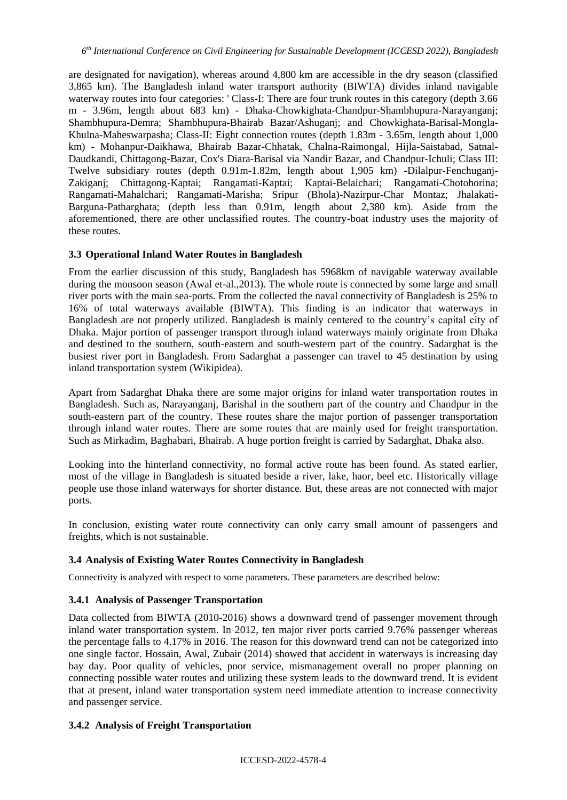are designated for navigation), whereas around 4,800 km are accessible in the dry season (classified 3,865 km). The Bangladesh inland water transport authority (BIWTA) divides inland navigable waterway routes into four categories: 'Class-I: There are four trunk routes in this category (depth 3.66) m - 3.96m, length about 683 km) - Dhaka-Chowkighata-Chandpur-Shambhupura-Narayanganj; Shambhupura-Demra; Shambhupura-Bhairab Bazar/Ashuganj; and Chowkighata-Barisal-Mongla-Khulna-Maheswarpasha; Class-II: Eight connection routes (depth 1.83m - 3.65m, length about 1,000 km) - Mohanpur-Daikhawa, Bhairab Bazar-Chhatak, Chalna-Raimongal, Hijla-Saistabad, Satnal-Daudkandi, Chittagong-Bazar, Cox's Diara-Barisal via Nandir Bazar, and Chandpur-Ichuli; Class III: Twelve subsidiary routes (depth 0.91m-1.82m, length about 1,905 km) -Dilalpur-Fenchuganj-Zakiganj; Chittagong-Kaptai; Rangamati-Kaptai; Kaptai-Belaichari; Rangamati-Chotohorina; Rangamati-Mahalchari; Rangamati-Marisha; Sripur (Bhola)-Nazirpur-Char Montaz; Jhalakati-Barguna-Patharghata; (depth less than 0.91m, length about 2,380 km). Aside from the aforementioned, there are other unclassified routes. The country-boat industry uses the majority of these routes.

# **3.3 Operational Inland Water Routes in Bangladesh**

From the earlier discussion of this study, Bangladesh has 5968km of navigable waterway available during the monsoon season (Awal et-al.,2013). The whole route is connected by some large and small river ports with the main sea-ports. From the collected the naval connectivity of Bangladesh is 25% to 16% of total waterways available (BIWTA). This finding is an indicator that waterways in Bangladesh are not properly utilized. Bangladesh is mainly centered to the country's capital city of Dhaka. Major portion of passenger transport through inland waterways mainly originate from Dhaka and destined to the southern, south-eastern and south-western part of the country. Sadarghat is the busiest river port in Bangladesh. From Sadarghat a passenger can travel to 45 destination by using inland transportation system (Wikipidea).

Apart from Sadarghat Dhaka there are some major origins for inland water transportation routes in Bangladesh. Such as, Narayanganj, Barishal in the southern part of the country and Chandpur in the south-eastern part of the country. These routes share the major portion of passenger transportation through inland water routes. There are some routes that are mainly used for freight transportation. Such as Mirkadim, Baghabari, Bhairab. A huge portion freight is carried by Sadarghat, Dhaka also.

Looking into the hinterland connectivity, no formal active route has been found. As stated earlier, most of the village in Bangladesh is situated beside a river, lake, haor, beel etc. Historically village people use those inland waterways for shorter distance. But, these areas are not connected with major ports.

In conclusion, existing water route connectivity can only carry small amount of passengers and freights, which is not sustainable.

# **3.4 Analysis of Existing Water Routes Connectivity in Bangladesh**

Connectivity is analyzed with respect to some parameters. These parameters are described below:

### **3.4.1 Analysis of Passenger Transportation**

Data collected from BIWTA (2010-2016) shows a downward trend of passenger movement through inland water transportation system. In 2012, ten major river ports carried 9.76% passenger whereas the percentage falls to 4.17% in 2016. The reason for this downward trend can not be categorized into one single factor. Hossain, Awal, Zubair (2014) showed that accident in waterways is increasing day bay day. Poor quality of vehicles, poor service, mismanagement overall no proper planning on connecting possible water routes and utilizing these system leads to the downward trend. It is evident that at present, inland water transportation system need immediate attention to increase connectivity and passenger service.

### **3.4.2 Analysis of Freight Transportation**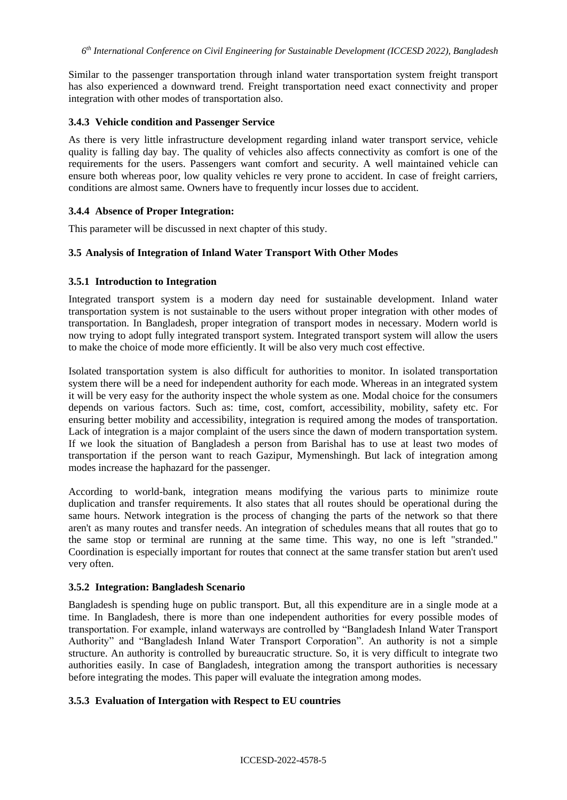Similar to the passenger transportation through inland water transportation system freight transport has also experienced a downward trend. Freight transportation need exact connectivity and proper integration with other modes of transportation also.

### **3.4.3 Vehicle condition and Passenger Service**

As there is very little infrastructure development regarding inland water transport service, vehicle quality is falling day bay. The quality of vehicles also affects connectivity as comfort is one of the requirements for the users. Passengers want comfort and security. A well maintained vehicle can ensure both whereas poor, low quality vehicles re very prone to accident. In case of freight carriers, conditions are almost same. Owners have to frequently incur losses due to accident.

### **3.4.4 Absence of Proper Integration:**

This parameter will be discussed in next chapter of this study.

### **3.5 Analysis of Integration of Inland Water Transport With Other Modes**

#### **3.5.1 Introduction to Integration**

Integrated transport system is a modern day need for sustainable development. Inland water transportation system is not sustainable to the users without proper integration with other modes of transportation. In Bangladesh, proper integration of transport modes in necessary. Modern world is now trying to adopt fully integrated transport system. Integrated transport system will allow the users to make the choice of mode more efficiently. It will be also very much cost effective.

Isolated transportation system is also difficult for authorities to monitor. In isolated transportation system there will be a need for independent authority for each mode. Whereas in an integrated system it will be very easy for the authority inspect the whole system as one. Modal choice for the consumers depends on various factors. Such as: time, cost, comfort, accessibility, mobility, safety etc. For ensuring better mobility and accessibility, integration is required among the modes of transportation. Lack of integration is a major complaint of the users since the dawn of modern transportation system. If we look the situation of Bangladesh a person from Barishal has to use at least two modes of transportation if the person want to reach Gazipur, Mymenshingh. But lack of integration among modes increase the haphazard for the passenger.

According to world-bank, integration means modifying the various parts to minimize route duplication and transfer requirements. It also states that all routes should be operational during the same hours. Network integration is the process of changing the parts of the network so that there aren't as many routes and transfer needs. An integration of schedules means that all routes that go to the same stop or terminal are running at the same time. This way, no one is left "stranded." Coordination is especially important for routes that connect at the same transfer station but aren't used very often.

#### **3.5.2 Integration: Bangladesh Scenario**

Bangladesh is spending huge on public transport. But, all this expenditure are in a single mode at a time. In Bangladesh, there is more than one independent authorities for every possible modes of transportation. For example, inland waterways are controlled by "Bangladesh Inland Water Transport Authority" and "Bangladesh Inland Water Transport Corporation". An authority is not a simple structure. An authority is controlled by bureaucratic structure. So, it is very difficult to integrate two authorities easily. In case of Bangladesh, integration among the transport authorities is necessary before integrating the modes. This paper will evaluate the integration among modes.

#### **3.5.3 Evaluation of Intergation with Respect to EU countries**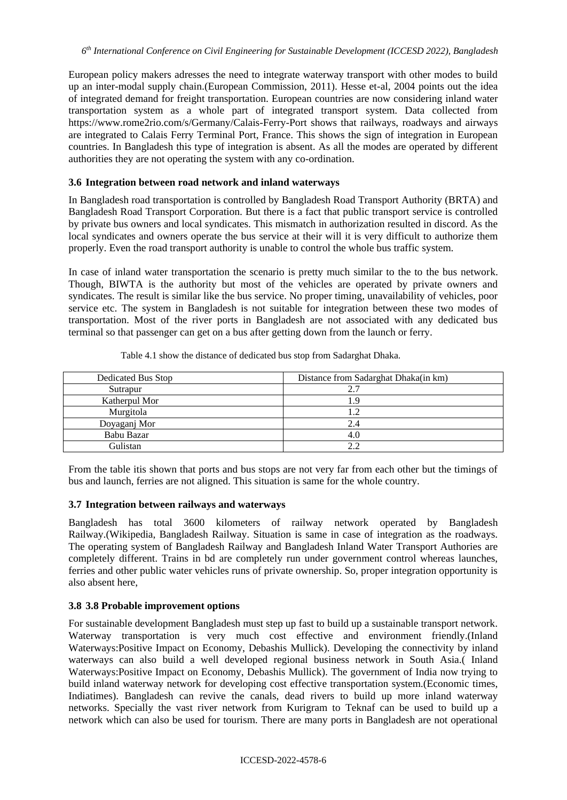European policy makers adresses the need to integrate waterway transport with other modes to build up an inter-modal supply chain.(European Commission, 2011). Hesse et-al, 2004 points out the idea of integrated demand for freight transportation. European countries are now considering inland water transportation system as a whole part of integrated transport system. Data collected from <https://www.rome2rio.com/s/Germany/Calais-Ferry-Port> shows that railways, roadways and airways are integrated to Calais Ferry Terminal Port, France. This shows the sign of integration in European countries. In Bangladesh this type of integration is absent. As all the modes are operated by different authorities they are not operating the system with any co-ordination.

# **3.6 Integration between road network and inland waterways**

In Bangladesh road transportation is controlled by Bangladesh Road Transport Authority (BRTA) and Bangladesh Road Transport Corporation. But there is a fact that public transport service is controlled by private bus owners and local syndicates. This mismatch in authorization resulted in discord. As the local syndicates and owners operate the bus service at their will it is very difficult to authorize them properly. Even the road transport authority is unable to control the whole bus traffic system.

In case of inland water transportation the scenario is pretty much similar to the to the bus network. Though, BIWTA is the authority but most of the vehicles are operated by private owners and syndicates. The result is similar like the bus service. No proper timing, unavailability of vehicles, poor service etc. The system in Bangladesh is not suitable for integration between these two modes of transportation. Most of the river ports in Bangladesh are not associated with any dedicated bus terminal so that passenger can get on a bus after getting down from the launch or ferry.

| Dedicated Bus Stop | Distance from Sadarghat Dhaka(in km) |
|--------------------|--------------------------------------|
| Sutrapur           | 2.7                                  |
| Katherpul Mor      |                                      |
| Murgitola          |                                      |
| Doyaganj Mor       | 2.4                                  |
| Babu Bazar         | 4.C                                  |
| Gulistan           | າ າ                                  |

Table 4.1 show the distance of dedicated bus stop from Sadarghat Dhaka.

From the table itis shown that ports and bus stops are not very far from each other but the timings of bus and launch, ferries are not aligned. This situation is same for the whole country.

### **3.7 Integration between railways and waterways**

Bangladesh has total 3600 kilometers of railway network operated by Bangladesh Railway.(Wikipedia, Bangladesh Railway. Situation is same in case of integration as the roadways. The operating system of Bangladesh Railway and Bangladesh Inland Water Transport Authories are completely different. Trains in bd are completely run under government control whereas launches, ferries and other public water vehicles runs of private ownership. So, proper integration opportunity is also absent here,

### **3.8 3.8 Probable improvement options**

For sustainable development Bangladesh must step up fast to build up a sustainable transport network. Waterway transportation is very much cost effective and environment friendly.(Inland Waterways:Positive Impact on Economy, Debashis Mullick). Developing the connectivity by inland waterways can also build a well developed regional business network in South Asia.( Inland Waterways:Positive Impact on Economy, Debashis Mullick). The government of India now trying to build inland waterway network for developing cost effective transportation system.(Economic times, Indiatimes). Bangladesh can revive the canals, dead rivers to build up more inland waterway networks. Specially the vast river network from Kurigram to Teknaf can be used to build up a network which can also be used for tourism. There are many ports in Bangladesh are not operational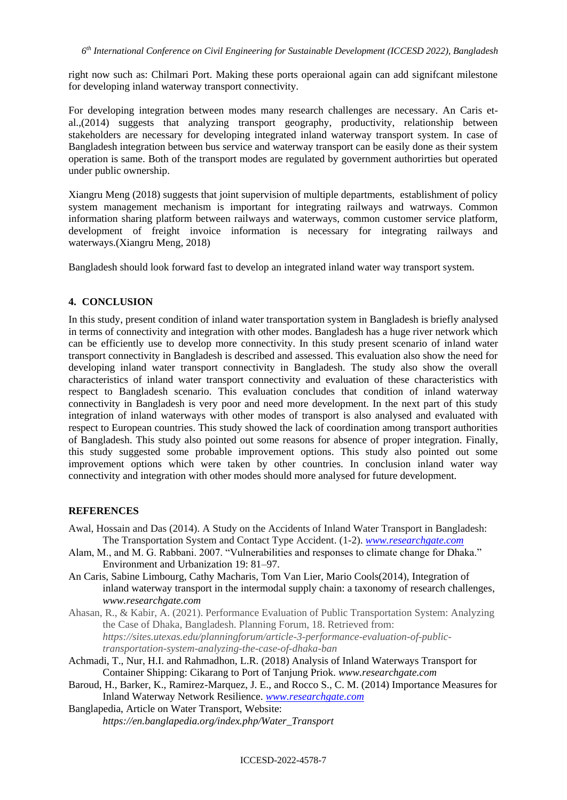right now such as: Chilmari Port. Making these ports operaional again can add signifcant milestone for developing inland waterway transport connectivity.

For developing integration between modes many research challenges are necessary. An Caris etal.,(2014) suggests that analyzing transport geography, productivity, relationship between stakeholders are necessary for developing integrated inland waterway transport system. In case of Bangladesh integration between bus service and waterway transport can be easily done as their system operation is same. Both of the transport modes are regulated by government authorirties but operated under public ownership.

Xiangru Meng (2018) suggests that joint supervision of multiple departments, establishment of policy system management mechanism is important for integrating railways and watrways. Common information sharing platform between railways and waterways, common customer service platform, development of freight invoice information is necessary for integrating railways and waterways.(Xiangru Meng, 2018)

Bangladesh should look forward fast to develop an integrated inland water way transport system.

# **4. CONCLUSION**

In this study, present condition of inland water transportation system in Bangladesh is briefly analysed in terms of connectivity and integration with other modes. Bangladesh has a huge river network which can be efficiently use to develop more connectivity. In this study present scenario of inland water transport connectivity in Bangladesh is described and assessed. This evaluation also show the need for developing inland water transport connectivity in Bangladesh. The study also show the overall characteristics of inland water transport connectivity and evaluation of these characteristics with respect to Bangladesh scenario. This evaluation concludes that condition of inland waterway connectivity in Bangladesh is very poor and need more development. In the next part of this study integration of inland waterways with other modes of transport is also analysed and evaluated with respect to European countries. This study showed the lack of coordination among transport authorities of Bangladesh. This study also pointed out some reasons for absence of proper integration. Finally, this study suggested some probable improvement options. This study also pointed out some improvement options which were taken by other countries. In conclusion inland water way connectivity and integration with other modes should more analysed for future development.

# **REFERENCES**

- Awal, Hossain and Das (2014). A Study on the Accidents of Inland Water Transport in Bangladesh: The Transportation System and Contact Type Accident. (1-2). *[www.researchgate.com](http://www.researchgate.com/)*
- Alam, M., and M. G. Rabbani. 2007. "Vulnerabilities and responses to climate change for Dhaka." Environment and Urbanization 19: 81–97.
- An Caris, Sabine Limbourg, Cathy Macharis, Tom Van Lier, Mario Cools(2014), Integration of inland waterway transport in the intermodal supply chain: a taxonomy of research challenges, *www.researchgate.com*
- Ahasan, R., & Kabir, A. (2021). Performance Evaluation of Public Transportation System: Analyzing the Case of Dhaka, Bangladesh. Planning Forum, 18. Retrieved from: *https://sites.utexas.edu/planningforum/article-3-performance-evaluation-of-publictransportation-system-analyzing-the-case-of-dhaka-ban*
- Achmadi, T., Nur, H.I. and Rahmadhon, L.R. (2018) Analysis of Inland Waterways Transport for Container Shipping: Cikarang to Port of Tanjung Priok. *www.researchgate.com*
- Baroud, H., Barker, K., Ramirez-Marquez, J. E., and Rocco S., C. M. (2014) Importance Measures for Inland Waterway Network Resilience. *[www.researchgate.com](http://www.researchgate.com/)*
- Banglapedia, Article on Water Transport, Website: *https://en.banglapedia.org/index.php/Water\_Transport*